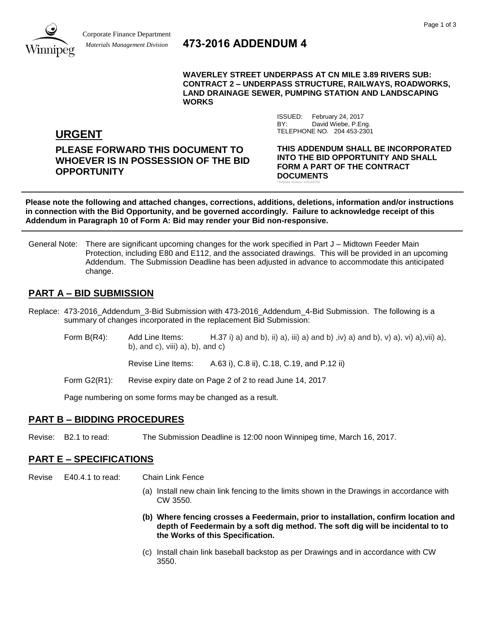

# *Materials Management Division* **473-2016 ADDENDUM 4**

**WAVERLEY STREET UNDERPASS AT CN MILE 3.89 RIVERS SUB: CONTRACT 2 – UNDERPASS STRUCTURE, RAILWAYS, ROADWORKS, LAND DRAINAGE SEWER, PUMPING STATION AND LANDSCAPING WORKS**

> ISSUED: February 24, 2017 BY: David Wiebe, P.Eng.

Template Version: A20160708

TELEPHONE NO. 204 453-2301

**URGENT**

**PLEASE FORWARD THIS DOCUMENT TO WHOEVER IS IN POSSESSION OF THE BID OPPORTUNITY**

**THIS ADDENDUM SHALL BE INCORPORATED INTO THE BID OPPORTUNITY AND SHALL FORM A PART OF THE CONTRACT DOCUMENTS**

**Please note the following and attached changes, corrections, additions, deletions, information and/or instructions in connection with the Bid Opportunity, and be governed accordingly. Failure to acknowledge receipt of this Addendum in Paragraph 10 of Form A: Bid may render your Bid non-responsive.**

General Note: There are significant upcoming changes for the work specified in Part J – Midtown Feeder Main Protection, including E80 and E112, and the associated drawings. This will be provided in an upcoming Addendum. The Submission Deadline has been adjusted in advance to accommodate this anticipated change.

# **PART A – BID SUBMISSION**

- Replace: 473-2016\_Addendum\_3-Bid Submission with 473-2016\_Addendum\_4-Bid Submission. The following is a summary of changes incorporated in the replacement Bid Submission:
	- Form B(R4): Add Line Items: H.37 i) a) and b), ii) a), iii) a) and b), iv) a) and b), v) a), vii) a), viii) a), b), and c), viii) a), b), and c)

Revise Line Items: A.63 i), C.8 ii), C.18, C.19, and P.12 ii)

Form G2(R1): Revise expiry date on Page 2 of 2 to read June 14, 2017

Page numbering on some forms may be changed as a result.

## **PART B – BIDDING PROCEDURES**

Revise: B2.1 to read: The Submission Deadline is 12:00 noon Winnipeg time, March 16, 2017.

## **PART E – SPECIFICATIONS**

Revise E40.4.1 to read: Chain Link Fence

- (a) Install new chain link fencing to the limits shown in the Drawings in accordance with CW 3550.
- **(b) Where fencing crosses a Feedermain, prior to installation, confirm location and depth of Feedermain by a soft dig method. The soft dig will be incidental to to the Works of this Specification.**
- (c) Install chain link baseball backstop as per Drawings and in accordance with CW 3550.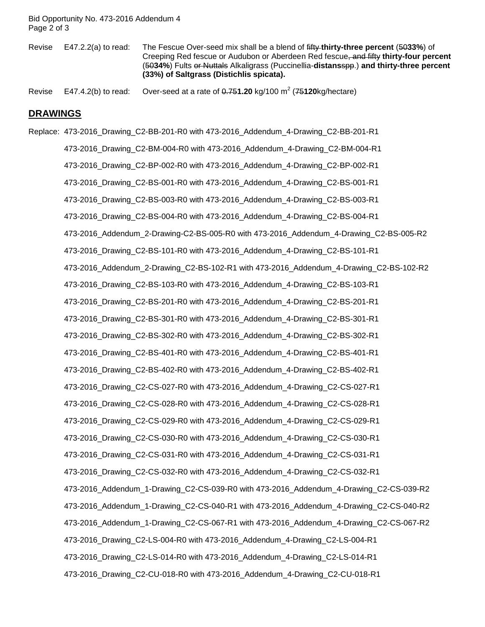Bid Opportunity No. 473-2016 Addendum 4 Page 2 of 3

Revise E47.2.2(a) to read: The Fescue Over-seed mix shall be a blend of fifty **thirty-three percent** (50**33%**) of Creeping Red fescue or Audubon or Aberdeen Red fescue, and fifty **thirty-four percent** (50**34%**) Fults or Nuttals Alkaligrass (Puccinellia-**distans**spp.) **and thirty-three percent (33%) of Saltgrass (Distichlis spicata).**

Revise E47.4.2(b) to read: Over-seed at a rate of 0.751.20 kg/100 m<sup>2</sup> (75120kg/hectare)

#### **DRAWINGS**

Replace: 473-2016\_Drawing\_C2-BB-201-R0 with 473-2016\_Addendum\_4-Drawing\_C2-BB-201-R1 473-2016\_Drawing\_C2-BM-004-R0 with 473-2016\_Addendum\_4-Drawing\_C2-BM-004-R1 473-2016\_Drawing\_C2-BP-002-R0 with 473-2016\_Addendum\_4-Drawing\_C2-BP-002-R1 473-2016\_Drawing\_C2-BS-001-R0 with 473-2016\_Addendum\_4-Drawing\_C2-BS-001-R1 473-2016\_Drawing\_C2-BS-003-R0 with 473-2016\_Addendum\_4-Drawing\_C2-BS-003-R1 473-2016\_Drawing\_C2-BS-004-R0 with 473-2016\_Addendum\_4-Drawing\_C2-BS-004-R1 473-2016\_Addendum\_2-Drawing-C2-BS-005-R0 with 473-2016\_Addendum\_4-Drawing\_C2-BS-005-R2 473-2016\_Drawing\_C2-BS-101-R0 with 473-2016\_Addendum\_4-Drawing\_C2-BS-101-R1 473-2016\_Addendum\_2-Drawing\_C2-BS-102-R1 with 473-2016\_Addendum\_4-Drawing\_C2-BS-102-R2 473-2016\_Drawing\_C2-BS-103-R0 with 473-2016\_Addendum\_4-Drawing\_C2-BS-103-R1 473-2016\_Drawing\_C2-BS-201-R0 with 473-2016\_Addendum\_4-Drawing\_C2-BS-201-R1 473-2016\_Drawing\_C2-BS-301-R0 with 473-2016\_Addendum\_4-Drawing\_C2-BS-301-R1 473-2016\_Drawing\_C2-BS-302-R0 with 473-2016\_Addendum\_4-Drawing\_C2-BS-302-R1 473-2016\_Drawing\_C2-BS-401-R0 with 473-2016\_Addendum\_4-Drawing\_C2-BS-401-R1 473-2016\_Drawing\_C2-BS-402-R0 with 473-2016\_Addendum\_4-Drawing\_C2-BS-402-R1 473-2016\_Drawing\_C2-CS-027-R0 with 473-2016\_Addendum\_4-Drawing\_C2-CS-027-R1 473-2016\_Drawing\_C2-CS-028-R0 with 473-2016\_Addendum\_4-Drawing\_C2-CS-028-R1 473-2016\_Drawing\_C2-CS-029-R0 with 473-2016\_Addendum\_4-Drawing\_C2-CS-029-R1 473-2016\_Drawing\_C2-CS-030-R0 with 473-2016\_Addendum\_4-Drawing\_C2-CS-030-R1 473-2016\_Drawing\_C2-CS-031-R0 with 473-2016\_Addendum\_4-Drawing\_C2-CS-031-R1 473-2016\_Drawing\_C2-CS-032-R0 with 473-2016\_Addendum\_4-Drawing\_C2-CS-032-R1 473-2016\_Addendum\_1-Drawing\_C2-CS-039-R0 with 473-2016\_Addendum\_4-Drawing\_C2-CS-039-R2 473-2016\_Addendum\_1-Drawing\_C2-CS-040-R1 with 473-2016\_Addendum\_4-Drawing\_C2-CS-040-R2 473-2016\_Addendum\_1-Drawing\_C2-CS-067-R1 with 473-2016\_Addendum\_4-Drawing\_C2-CS-067-R2 473-2016\_Drawing\_C2-LS-004-R0 with 473-2016\_Addendum\_4-Drawing\_C2-LS-004-R1 473-2016\_Drawing\_C2-LS-014-R0 with 473-2016\_Addendum\_4-Drawing\_C2-LS-014-R1 473-2016\_Drawing\_C2-CU-018-R0 with 473-2016\_Addendum\_4-Drawing\_C2-CU-018-R1